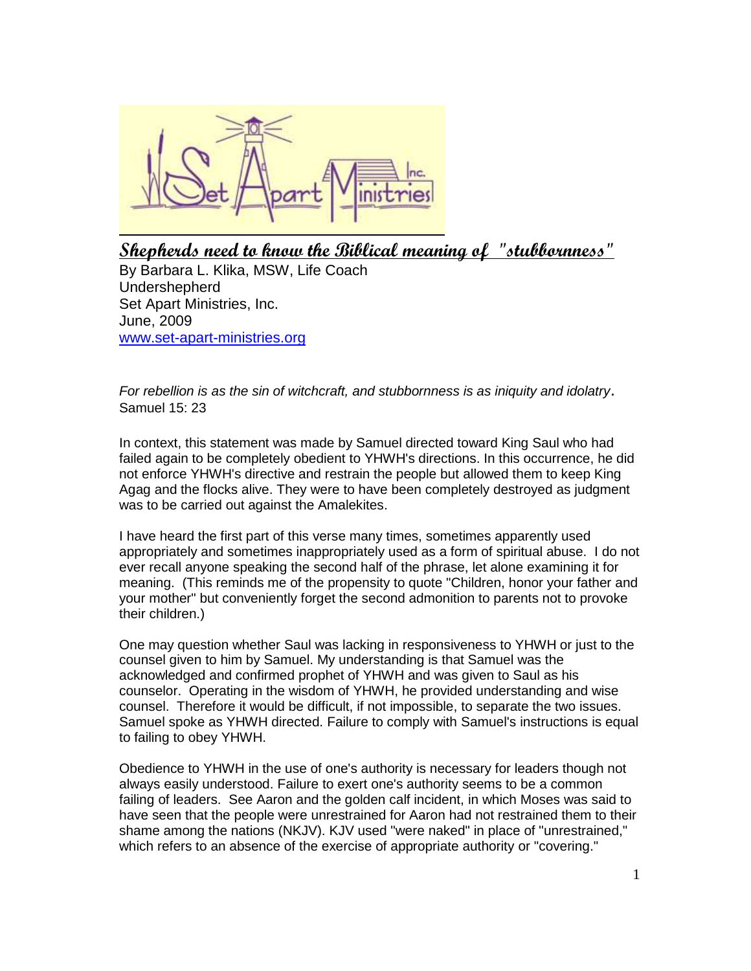

**Shepherds need to know the Biblical meaning of "stubbornness"** 

By Barbara L. Klika, MSW, Life Coach Undershepherd Set Apart Ministries, Inc. June, 2009 [www.set-apart-ministries.org](http://www.set-apart-ministries.org/)

*For rebellion is as the sin of witchcraft, and stubbornness is as iniquity and idolatry*. Samuel 15: 23

In context, this statement was made by Samuel directed toward King Saul who had failed again to be completely obedient to YHWH's directions. In this occurrence, he did not enforce YHWH's directive and restrain the people but allowed them to keep King Agag and the flocks alive. They were to have been completely destroyed as judgment was to be carried out against the Amalekites.

I have heard the first part of this verse many times, sometimes apparently used appropriately and sometimes inappropriately used as a form of spiritual abuse. I do not ever recall anyone speaking the second half of the phrase, let alone examining it for meaning. (This reminds me of the propensity to quote "Children, honor your father and your mother" but conveniently forget the second admonition to parents not to provoke their children.)

One may question whether Saul was lacking in responsiveness to YHWH or just to the counsel given to him by Samuel. My understanding is that Samuel was the acknowledged and confirmed prophet of YHWH and was given to Saul as his counselor. Operating in the wisdom of YHWH, he provided understanding and wise counsel. Therefore it would be difficult, if not impossible, to separate the two issues. Samuel spoke as YHWH directed. Failure to comply with Samuel's instructions is equal to failing to obey YHWH.

Obedience to YHWH in the use of one's authority is necessary for leaders though not always easily understood. Failure to exert one's authority seems to be a common failing of leaders. See Aaron and the golden calf incident, in which Moses was said to have seen that the people were unrestrained for Aaron had not restrained them to their shame among the nations (NKJV). KJV used "were naked" in place of "unrestrained," which refers to an absence of the exercise of appropriate authority or "covering."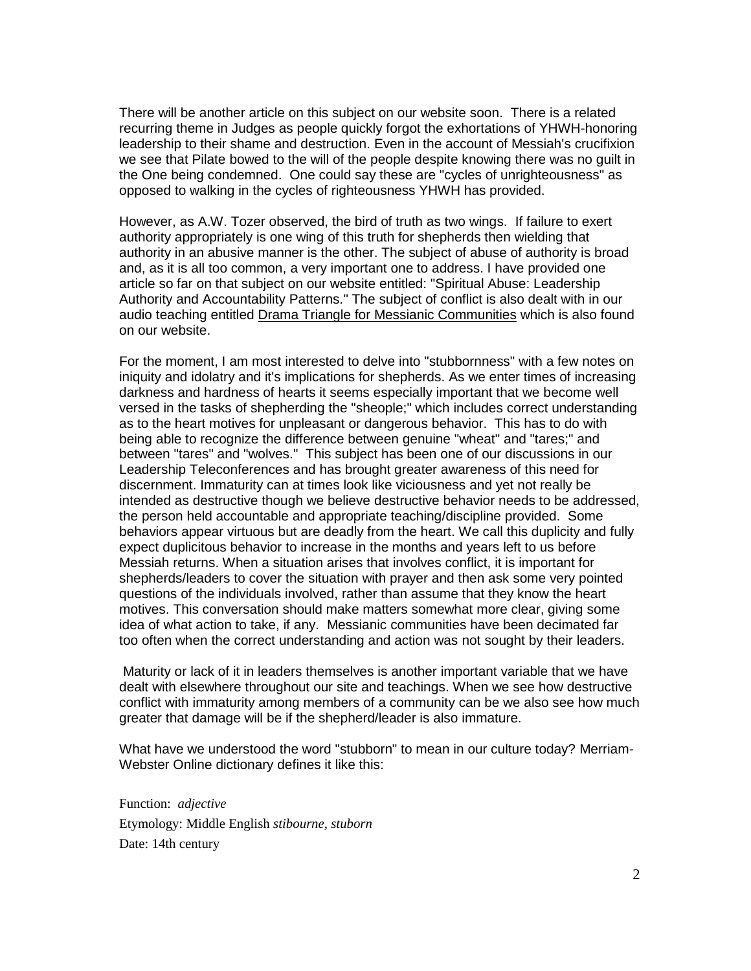There will be another article on this subject on our website soon. There is a related recurring theme in Judges as people quickly forgot the exhortations of YHWH-honoring leadership to their shame and destruction. Even in the account of Messiah's crucifixion we see that Pilate bowed to the will of the people despite knowing there was no guilt in the One being condemned. One could say these are "cycles of unrighteousness" as opposed to walking in the cycles of righteousness YHWH has provided.

However, as A.W. Tozer observed, the bird of truth as two wings. If failure to exert authority appropriately is one wing of this truth for shepherds then wielding that authority in an abusive manner is the other. The subject of abuse of authority is broad and, as it is all too common, a very important one to address. I have provided one article so far on that subject on our website entitled: "Spiritual Abuse: Leadership Authority and Accountability Patterns." The subject of conflict is also dealt with in our audio teaching entitled Drama Triangle for Messianic Communities which is also found on our website.

For the moment, I am most interested to delve into "stubbornness" with a few notes on iniquity and idolatry and it's implications for shepherds. As we enter times of increasing darkness and hardness of hearts it seems especially important that we become well versed in the tasks of shepherding the "sheople;" which includes correct understanding as to the heart motives for unpleasant or dangerous behavior. This has to do with being able to recognize the difference between genuine "wheat" and "tares;" and between "tares" and "wolves." This subject has been one of our discussions in our Leadership Teleconferences and has brought greater awareness of this need for discernment. Immaturity can at times look like viciousness and yet not really be intended as destructive though we believe destructive behavior needs to be addressed, the person held accountable and appropriate teaching/discipline provided. Some behaviors appear virtuous but are deadly from the heart. We call this duplicity and fully expect duplicitous behavior to increase in the months and years left to us before Messiah returns. When a situation arises that involves conflict, it is important for shepherds/leaders to cover the situation with prayer and then ask some very pointed questions of the individuals involved, rather than assume that they know the heart motives. This conversation should make matters somewhat more clear, giving some idea of what action to take, if any. Messianic communities have been decimated far too often when the correct understanding and action was not sought by their leaders.

Maturity or lack of it in leaders themselves is another important variable that we have dealt with elsewhere throughout our site and teachings. When we see how destructive conflict with immaturity among members of a community can be we also see how much greater that damage will be if the shepherd/leader is also immature.

What have we understood the word "stubborn" to mean in our culture today? Merriam-Webster Online dictionary defines it like this:

Function: *adjective* Etymology: Middle English *stibourne, stuborn* Date: 14th century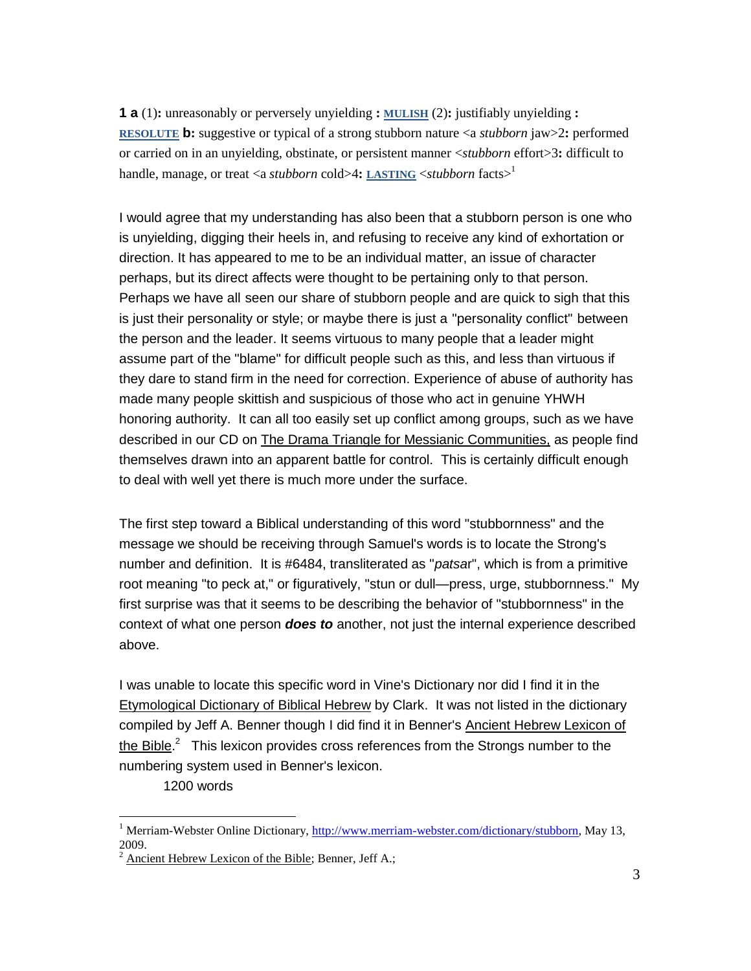**1 a** (1)**:** unreasonably or perversely unyielding **: [MULISH](http://www.merriam-webster.com/dictionary/mulish)** (2)**:** justifiably unyielding **: [RESOLUTE](http://www.merriam-webster.com/dictionary/resolute) b:** suggestive or typical of a strong stubborn nature <a *stubborn* jaw>2**:** performed or carried on in an unyielding, obstinate, or persistent manner <*stubborn* effort>3**:** difficult to handle, manage, or treat <a *stubborn* cold>4**: [LASTING](http://www.merriam-webster.com/dictionary/lasting)** <*stubborn* facts><sup>1</sup>

I would agree that my understanding has also been that a stubborn person is one who is unyielding, digging their heels in, and refusing to receive any kind of exhortation or direction. It has appeared to me to be an individual matter, an issue of character perhaps, but its direct affects were thought to be pertaining only to that person. Perhaps we have all seen our share of stubborn people and are quick to sigh that this is just their personality or style; or maybe there is just a "personality conflict" between the person and the leader. It seems virtuous to many people that a leader might assume part of the "blame" for difficult people such as this, and less than virtuous if they dare to stand firm in the need for correction. Experience of abuse of authority has made many people skittish and suspicious of those who act in genuine YHWH honoring authority. It can all too easily set up conflict among groups, such as we have described in our CD on The Drama Triangle for Messianic Communities, as people find themselves drawn into an apparent battle for control. This is certainly difficult enough to deal with well yet there is much more under the surface.

The first step toward a Biblical understanding of this word "stubbornness" and the message we should be receiving through Samuel's words is to locate the Strong's number and definition. It is #6484, transliterated as "*patsa*r", which is from a primitive root meaning "to peck at," or figuratively, "stun or dull—press, urge, stubbornness." My first surprise was that it seems to be describing the behavior of "stubbornness" in the context of what one person *does to* another, not just the internal experience described above.

I was unable to locate this specific word in Vine's Dictionary nor did I find it in the Etymological Dictionary of Biblical Hebrew by Clark. It was not listed in the dictionary compiled by Jeff A. Benner though I did find it in Benner's Ancient Hebrew Lexicon of the Bible.<sup>2</sup> This lexicon provides cross references from the Strongs number to the numbering system used in Benner's lexicon.

1200 words

<sup>&</sup>lt;sup>1</sup> Merriam-Webster Online Dictionary, [http://www.merriam-webster.com/dictionary/stubborn,](http://www.merriam-webster.com/dictionary/stubborn) May 13, 2009.

<sup>&</sup>lt;sup>2</sup> Ancient Hebrew Lexicon of the Bible: Benner, Jeff A.: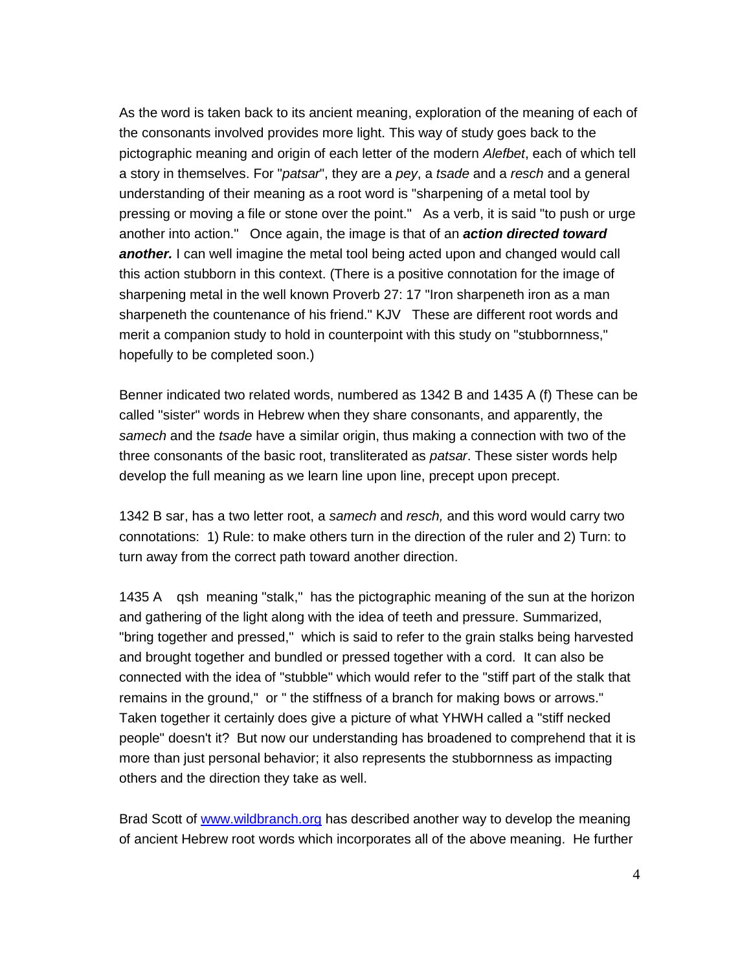As the word is taken back to its ancient meaning, exploration of the meaning of each of the consonants involved provides more light. This way of study goes back to the pictographic meaning and origin of each letter of the modern *Alefbet*, each of which tell a story in themselves. For "*patsar*", they are a *pey*, a *tsade* and a *resch* and a general understanding of their meaning as a root word is "sharpening of a metal tool by pressing or moving a file or stone over the point." As a verb, it is said "to push or urge another into action." Once again, the image is that of an *action directed toward another.* I can well imagine the metal tool being acted upon and changed would call this action stubborn in this context. (There is a positive connotation for the image of sharpening metal in the well known Proverb 27: 17 "Iron sharpeneth iron as a man sharpeneth the countenance of his friend." KJV These are different root words and merit a companion study to hold in counterpoint with this study on "stubbornness," hopefully to be completed soon.)

Benner indicated two related words, numbered as 1342 B and 1435 A (f) These can be called "sister" words in Hebrew when they share consonants, and apparently, the *samech* and the *tsade* have a similar origin, thus making a connection with two of the three consonants of the basic root, transliterated as *patsar*. These sister words help develop the full meaning as we learn line upon line, precept upon precept.

1342 B sar, has a two letter root, a *samech* and *resch,* and this word would carry two connotations: 1) Rule: to make others turn in the direction of the ruler and 2) Turn: to turn away from the correct path toward another direction.

1435 A qsh meaning "stalk," has the pictographic meaning of the sun at the horizon and gathering of the light along with the idea of teeth and pressure. Summarized, "bring together and pressed," which is said to refer to the grain stalks being harvested and brought together and bundled or pressed together with a cord. It can also be connected with the idea of "stubble" which would refer to the "stiff part of the stalk that remains in the ground," or " the stiffness of a branch for making bows or arrows." Taken together it certainly does give a picture of what YHWH called a "stiff necked people" doesn't it? But now our understanding has broadened to comprehend that it is more than just personal behavior; it also represents the stubbornness as impacting others and the direction they take as well.

Brad Scott of [www.wildbranch.org](http://www.wildbranch.org/) has described another way to develop the meaning of ancient Hebrew root words which incorporates all of the above meaning. He further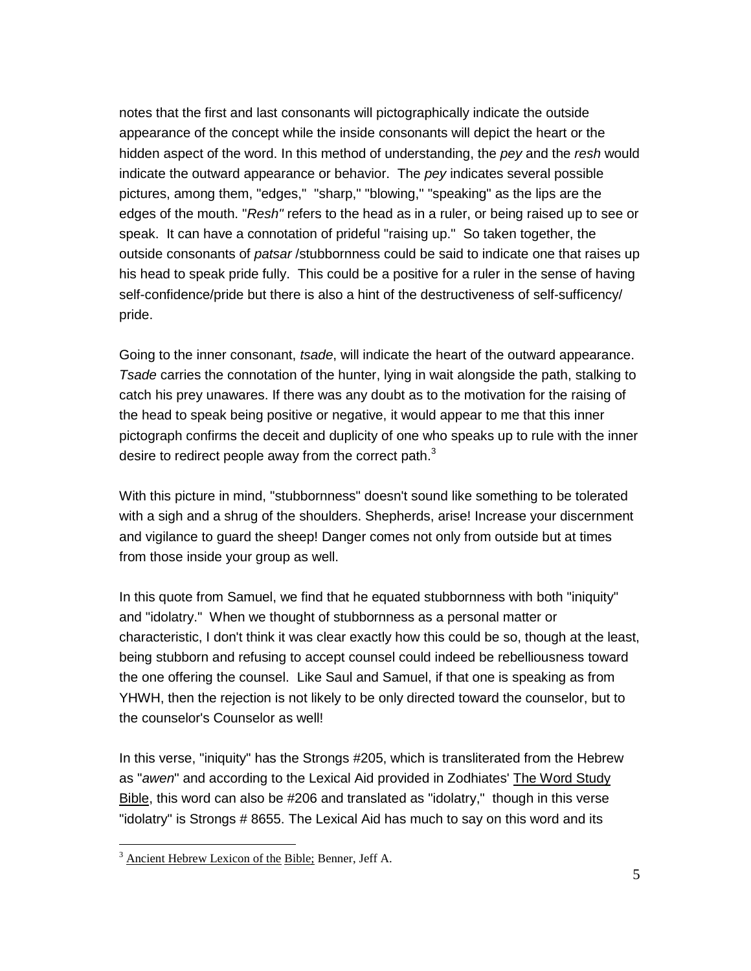notes that the first and last consonants will pictographically indicate the outside appearance of the concept while the inside consonants will depict the heart or the hidden aspect of the word. In this method of understanding, the *pey* and the *resh* would indicate the outward appearance or behavior. The *pey* indicates several possible pictures, among them, "edges," "sharp," "blowing," "speaking" as the lips are the edges of the mouth. "*Resh"* refers to the head as in a ruler, or being raised up to see or speak. It can have a connotation of prideful "raising up." So taken together, the outside consonants of *patsar* /stubbornness could be said to indicate one that raises up his head to speak pride fully. This could be a positive for a ruler in the sense of having self-confidence/pride but there is also a hint of the destructiveness of self-sufficency/ pride.

Going to the inner consonant, *tsade*, will indicate the heart of the outward appearance. *Tsade* carries the connotation of the hunter, lying in wait alongside the path, stalking to catch his prey unawares. If there was any doubt as to the motivation for the raising of the head to speak being positive or negative, it would appear to me that this inner pictograph confirms the deceit and duplicity of one who speaks up to rule with the inner desire to redirect people away from the correct path. $3$ 

With this picture in mind, "stubbornness" doesn't sound like something to be tolerated with a sigh and a shrug of the shoulders. Shepherds, arise! Increase your discernment and vigilance to guard the sheep! Danger comes not only from outside but at times from those inside your group as well.

In this quote from Samuel, we find that he equated stubbornness with both "iniquity" and "idolatry." When we thought of stubbornness as a personal matter or characteristic, I don't think it was clear exactly how this could be so, though at the least, being stubborn and refusing to accept counsel could indeed be rebelliousness toward the one offering the counsel. Like Saul and Samuel, if that one is speaking as from YHWH, then the rejection is not likely to be only directed toward the counselor, but to the counselor's Counselor as well!

In this verse, "iniquity" has the Strongs #205, which is transliterated from the Hebrew as "*awen*" and according to the Lexical Aid provided in Zodhiates' The Word Study Bible, this word can also be #206 and translated as "idolatry," though in this verse "idolatry" is Strongs # 8655. The Lexical Aid has much to say on this word and its

 $3$  Ancient Hebrew Lexicon of the Bible: Benner, Jeff A.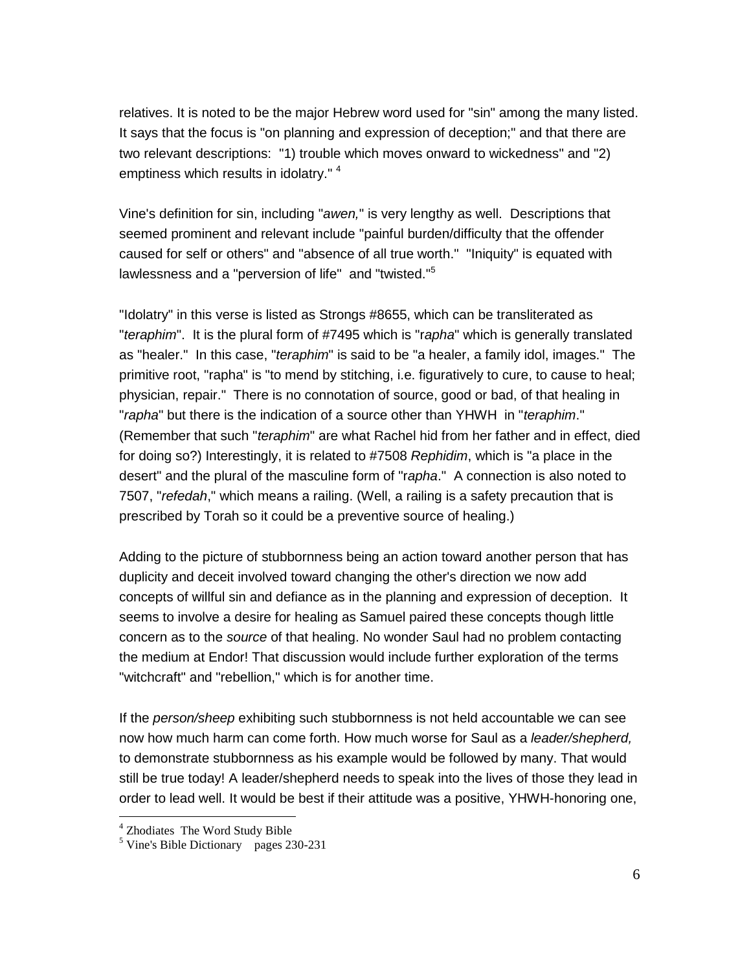relatives. It is noted to be the major Hebrew word used for "sin" among the many listed. It says that the focus is "on planning and expression of deception;" and that there are two relevant descriptions: "1) trouble which moves onward to wickedness" and "2) emptiness which results in idolatry." <sup>4</sup>

Vine's definition for sin, including "*awen,*" is very lengthy as well. Descriptions that seemed prominent and relevant include "painful burden/difficulty that the offender caused for self or others" and "absence of all true worth." "Iniquity" is equated with lawlessness and a "perversion of life" and "twisted."<sup>5</sup>

"Idolatry" in this verse is listed as Strongs #8655, which can be transliterated as "*teraphim*". It is the plural form of #7495 which is "r*apha*" which is generally translated as "healer." In this case, "*teraphim*" is said to be "a healer, a family idol, images." The primitive root, "rapha" is "to mend by stitching, i.e. figuratively to cure, to cause to heal; physician, repair." There is no connotation of source, good or bad, of that healing in "*rapha*" but there is the indication of a source other than YHWH in "*teraphim*." (Remember that such "*teraphim*" are what Rachel hid from her father and in effect, died for doing so?) Interestingly, it is related to #7508 *Rephidim*, which is "a place in the desert" and the plural of the masculine form of "r*apha*." A connection is also noted to 7507, "*refedah*," which means a railing. (Well, a railing is a safety precaution that is prescribed by Torah so it could be a preventive source of healing.)

Adding to the picture of stubbornness being an action toward another person that has duplicity and deceit involved toward changing the other's direction we now add concepts of willful sin and defiance as in the planning and expression of deception. It seems to involve a desire for healing as Samuel paired these concepts though little concern as to the *source* of that healing. No wonder Saul had no problem contacting the medium at Endor! That discussion would include further exploration of the terms "witchcraft" and "rebellion," which is for another time.

If the *person/sheep* exhibiting such stubbornness is not held accountable we can see now how much harm can come forth. How much worse for Saul as a *leader/shepherd,* to demonstrate stubbornness as his example would be followed by many. That would still be true today! A leader/shepherd needs to speak into the lives of those they lead in order to lead well. It would be best if their attitude was a positive, YHWH-honoring one,

<sup>4</sup> Zhodiates The Word Study Bible

<sup>5</sup> Vine's Bible Dictionary pages 230-231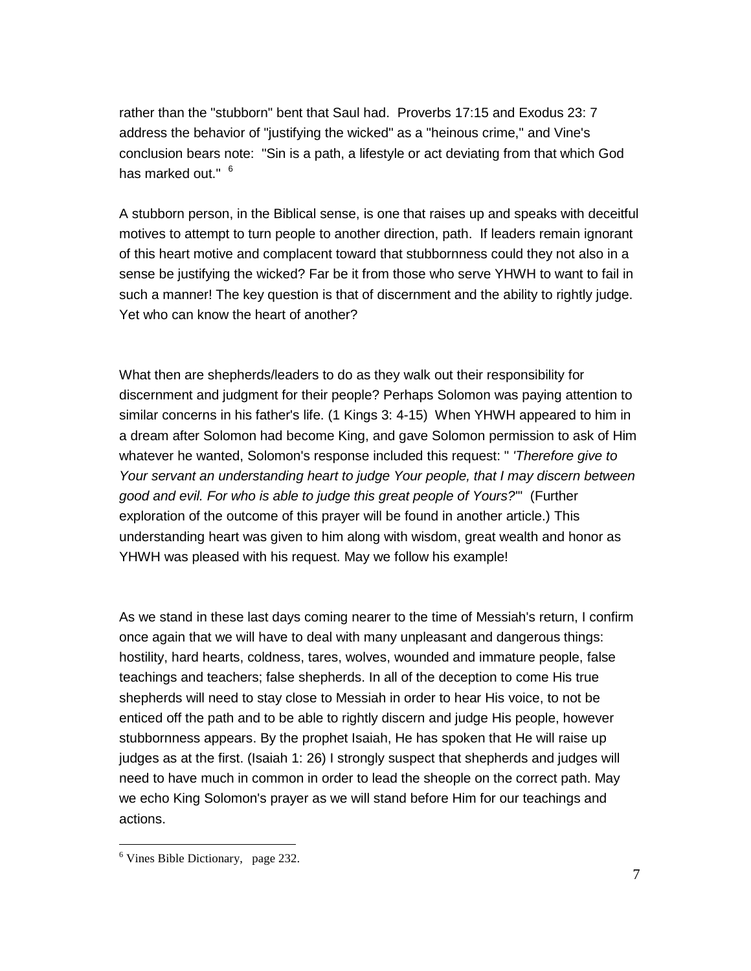rather than the "stubborn" bent that Saul had. Proverbs 17:15 and Exodus 23: 7 address the behavior of "justifying the wicked" as a "heinous crime," and Vine's conclusion bears note: "Sin is a path, a lifestyle or act deviating from that which God has marked out." <sup>6</sup>

A stubborn person, in the Biblical sense, is one that raises up and speaks with deceitful motives to attempt to turn people to another direction, path. If leaders remain ignorant of this heart motive and complacent toward that stubbornness could they not also in a sense be justifying the wicked? Far be it from those who serve YHWH to want to fail in such a manner! The key question is that of discernment and the ability to rightly judge. Yet who can know the heart of another?

What then are shepherds/leaders to do as they walk out their responsibility for discernment and judgment for their people? Perhaps Solomon was paying attention to similar concerns in his father's life. (1 Kings 3: 4-15) When YHWH appeared to him in a dream after Solomon had become King, and gave Solomon permission to ask of Him whatever he wanted, Solomon's response included this request: " *'Therefore give to Your servant an understanding heart to judge Your people, that I may discern between good and evil. For who is able to judge this great people of Yours?*'" (Further exploration of the outcome of this prayer will be found in another article.) This understanding heart was given to him along with wisdom, great wealth and honor as YHWH was pleased with his request. May we follow his example!

As we stand in these last days coming nearer to the time of Messiah's return, I confirm once again that we will have to deal with many unpleasant and dangerous things: hostility, hard hearts, coldness, tares, wolves, wounded and immature people, false teachings and teachers; false shepherds. In all of the deception to come His true shepherds will need to stay close to Messiah in order to hear His voice, to not be enticed off the path and to be able to rightly discern and judge His people, however stubbornness appears. By the prophet Isaiah, He has spoken that He will raise up judges as at the first. (Isaiah 1: 26) I strongly suspect that shepherds and judges will need to have much in common in order to lead the sheople on the correct path. May we echo King Solomon's prayer as we will stand before Him for our teachings and actions.

<sup>6</sup> Vines Bible Dictionary, page 232.